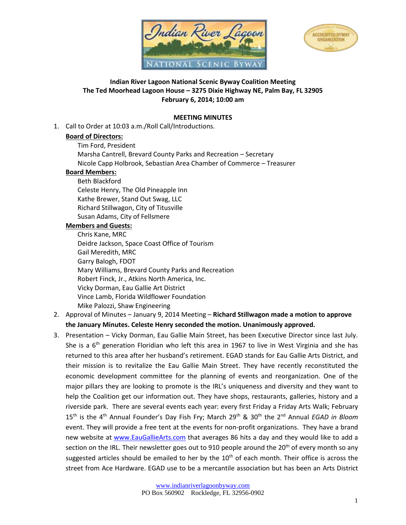



## **Indian River Lagoon National Scenic Byway Coalition Meeting The Ted Moorhead Lagoon House – 3275 Dixie Highway NE, Palm Bay, FL 32905 February 6, 2014; 10:00 am**

## **MEETING MINUTES**

1. Call to Order at 10:03 a.m./Roll Call/Introductions.

## **Board of Directors:**

Tim Ford, President Marsha Cantrell, Brevard County Parks and Recreation – Secretary Nicole Capp Holbrook, Sebastian Area Chamber of Commerce – Treasurer

# **Board Members:**

Beth Blackford Celeste Henry, The Old Pineapple Inn Kathe Brewer, Stand Out Swag, LLC Richard Stillwagon, City of Titusville Susan Adams, City of Fellsmere

## **Members and Guests:**

Chris Kane, MRC Deidre Jackson, Space Coast Office of Tourism Gail Meredith, MRC Garry Balogh, FDOT Mary Williams, Brevard County Parks and Recreation Robert Finck, Jr., Atkins North America, Inc. Vicky Dorman, Eau Gallie Art District Vince Lamb, Florida Wildflower Foundation Mike Palozzi, Shaw Engineering

- 2. Approval of Minutes January 9, 2014 Meeting **Richard Stillwagon made a motion to approve the January Minutes. Celeste Henry seconded the motion. Unanimously approved.**
- 3. Presentation Vicky Dorman, Eau Gallie Main Street, has been Executive Director since last July. She is a 6<sup>th</sup> generation Floridian who left this area in 1967 to live in West Virginia and she has returned to this area after her husband's retirement. EGAD stands for Eau Gallie Arts District, and their mission is to revitalize the Eau Gallie Main Street. They have recently reconstituted the economic development committee for the planning of events and reorganization. One of the major pillars they are looking to promote is the IRL's uniqueness and diversity and they want to help the Coalition get our information out. They have shops, restaurants, galleries, history and a riverside park. There are several events each year: every first Friday a Friday Arts Walk; February 15<sup>th</sup> is the 4<sup>th</sup> Annual Founder's Day Fish Fry; March 29<sup>th</sup> & 30<sup>th</sup> the 2<sup>nd</sup> Annual EGAD in Bloom event. They will provide a free tent at the events for non-profit organizations. They have a brand new website at [www.EauGallieArts.com](http://www.eaugalliearts.com/) that averages 86 hits a day and they would like to add a section on the IRL. Their newsletter goes out to 910 people around the  $20<sup>th</sup>$  of every month so any suggested articles should be emailed to her by the  $10<sup>th</sup>$  of each month. Their office is across the street from Ace Hardware. EGAD use to be a mercantile association but has been an Arts District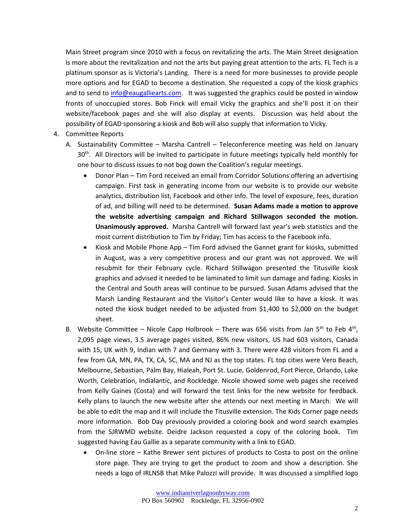Main Street program since 2010 with a focus on revitalizing the arts. The Main Street designation is more about the revitalization and not the arts but paying great attention to the arts. FL Tech is a platinum sponsor as is Victoria's Landing. There is a need for more businesses to provide people more options and for EGAD to become a destination. She requested a copy of the kiosk graphics and to send to [info@eaugalliearts.com.](mailto:info@eaugalliearts.com) It was suggested the graphics could be posted in window fronts of unoccupied stores. Bob Finck will email Vicky the graphics and she'll post it on their website/facebook pages and she will also display at events. Discussion was held about the possibility of EGAD sponsoring a kiosk and Bob will also supply that information to Vicky.

- 4. Committee Reports
	- A. Sustainability Committee Marsha Cantrell Teleconference meeting was held on January  $30<sup>th</sup>$ . All Directors will be invited to participate in future meetings typically held monthly for one hour to discuss issues to not bog down the Coalition's regular meetings.
		- Donor Plan Tim Ford received an email from Corridor Solutions offering an advertising campaign. First task in generating income from our website is to provide our website analytics, distribution list, Facebook and other info. The level of exposure, fees, duration of ad, and billing will need to be determined. **Susan Adams made a motion to approve the website advertising campaign and Richard Stillwagon seconded the motion. Unanimously approved.** Marsha Cantrell will forward last year's web statistics and the most current distribution to Tim by Friday; Tim has access to the Facebook info.
		- Kiosk and Mobile Phone App Tim Ford advised the Gannet grant for kiosks, submitted in August, was a very competitive process and our grant was not approved. We will resubmit for their February cycle. Richard Stillwagon presented the Titusville kiosk graphics and advised it needed to be laminated to limit sun damage and fading. Kiosks in the Central and South areas will continue to be pursued. Susan Adams advised that the Marsh Landing Restaurant and the Visitor's Center would like to have a kiosk. It was noted the kiosk budget needed to be adjusted from \$1,400 to \$2,000 on the budget sheet.
	- B. Website Committee Nicole Capp Holbrook There was 656 visits from Jan 5<sup>th</sup> to Feb 4<sup>th</sup>, 2,095 page views, 3.5 average pages visited, 86% new visitors, US had 603 visitors, Canada with 15, UK with 9, Indian with 7 and Germany with 3. There were 428 visitors from FL and a few from GA, MN, PA, TX, CA, SC, MA and NJ as the top states. FL top cities were Vero Beach, Melbourne, Sebastian, Palm Bay, Hialeah, Port St. Lucie, Goldenrod, Fort Pierce, Orlando, Lake Worth, Celebration, Indialantic, and Rockledge. Nicole showed some web pages she received from Kelly Gaines (Costa) and will forward the test links for the new website for feedback. Kelly plans to launch the new website after she attends our next meeting in March. We will be able to edit the map and it will include the Titusville extension. The Kids Corner page needs more information. Bob Day previously provided a coloring book and word search examples from the SJRWMD website. Deidre Jackson requested a copy of the coloring book. Tim suggested having Eau Gallie as a separate community with a link to EGAD.
		- On-line store Kathe Brewer sent pictures of products to Costa to post on the online store page. They are trying to get the product to zoom and show a description. She needs a logo of IRLNSB that Mike Palozzi will provide. It was discussed a simplified logo